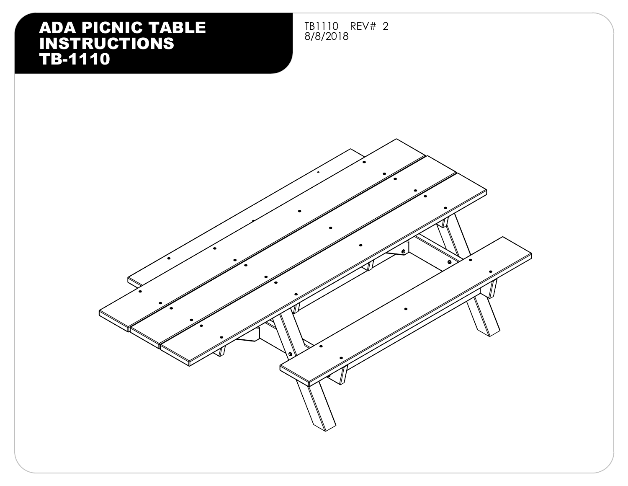#### ADA PICNIC TABLE TBILLO<br>INGTRUCTIONS INSTRUCTIONS TB-1110

TB1110 REV# 2

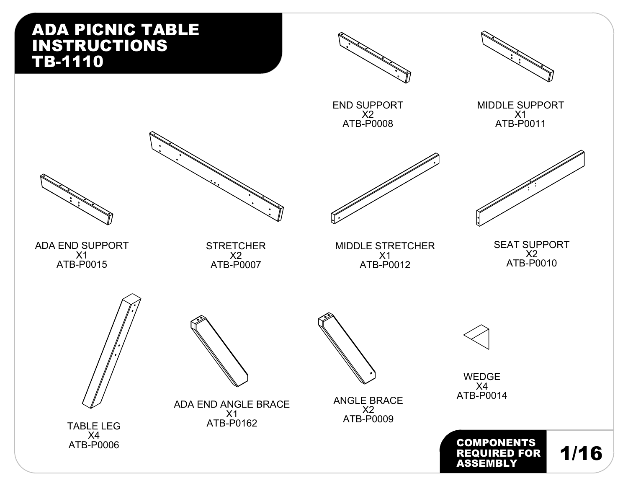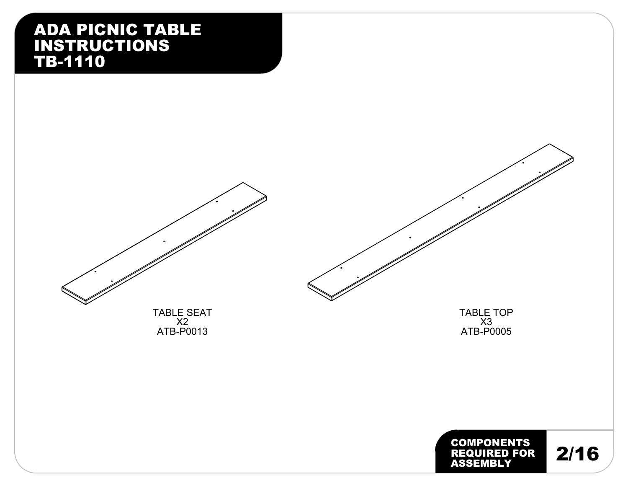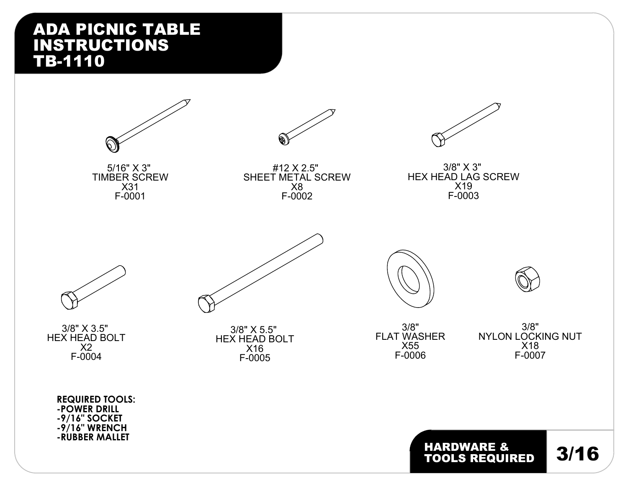









3/8" X 3" HEX HEAD LAG SCREW X19 F-0003



3/8" X 3.5" HEX HEAD BOLT X2 F-0004

> **REQUIRED TOOLS: -POWER DRILL -9/16" SOCKET -9/16" WRENCH -RUBBER MALLET**



3/8" X 5.5" HEX HEAD BOLT X16 F-0005

3/8" FLAT WASHER X55 F-0006

3/8" NYLON LOCKING NUT X18 F-0007

HARDWARE & **3/16**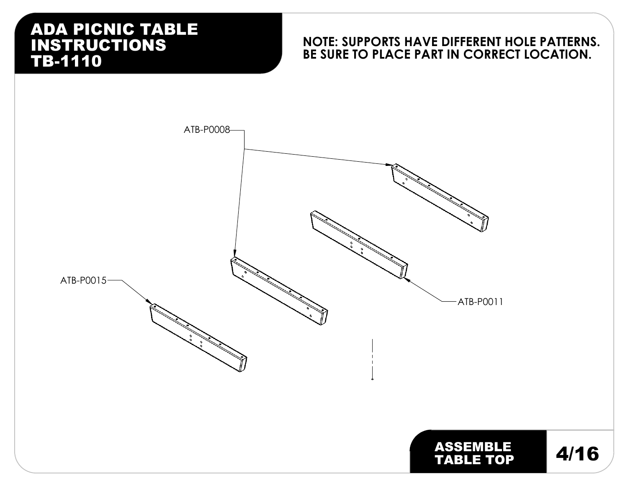#### **NOTE: SUPPORTS HAVE DIFFERENT HOLE PATTERNS. BE SURE TO PLACE PART IN CORRECT LOCATION.**

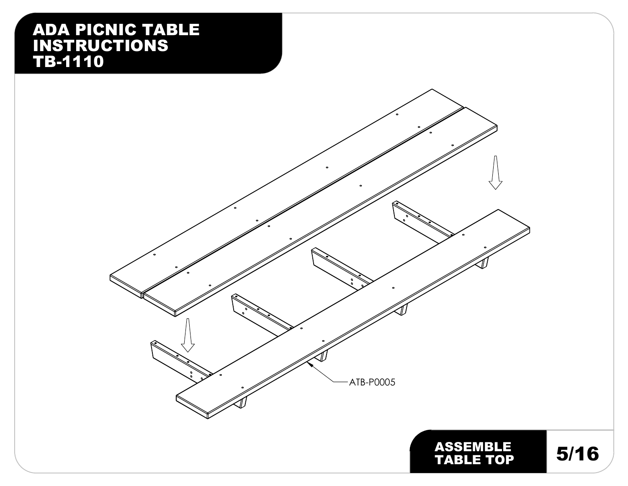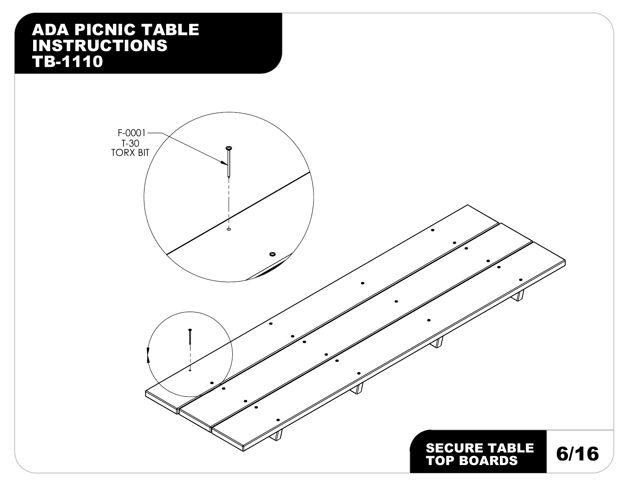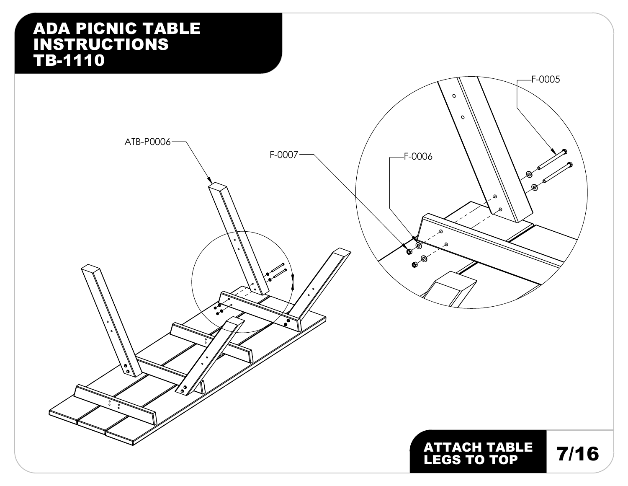## ADA PICNIC TABLE INSTRUCTIONS TB-1110 F-0005  $\circ$  $\circ$ ATB-P0006  $F-0007$  /  $-F-0006$ இ ൫  $\circ$ ø **TO**  $\bullet$ ৽  $\bullet$ ွ ATTACH TABLE LEGS TO TOP 7/16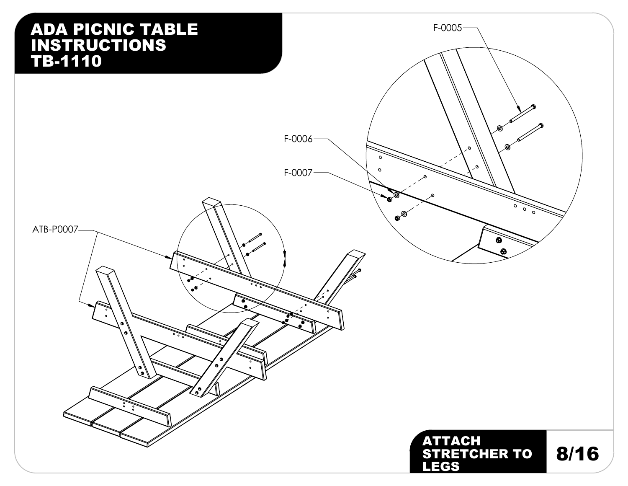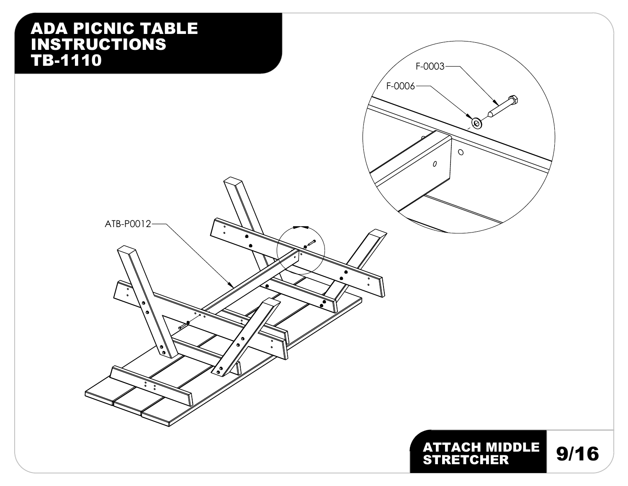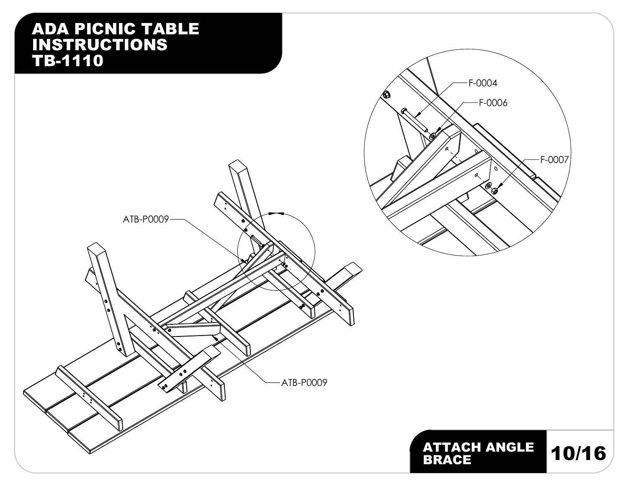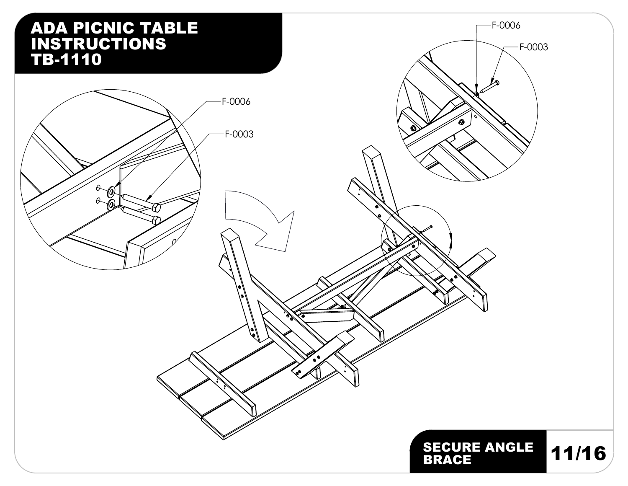# ADA PICNIC TABLE F-0006 INSTRUCTIONS F-0003 TB-1110 F-0006 ۵ F-0003 ©<br>@  $\vartheta$ グ ۰, SECURE ANGLE | 11/16 |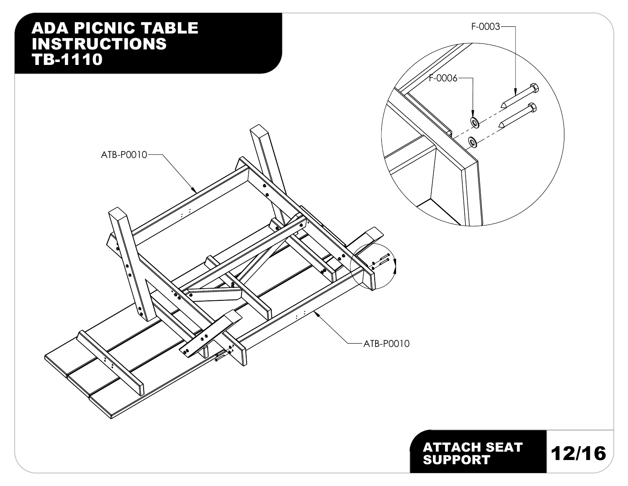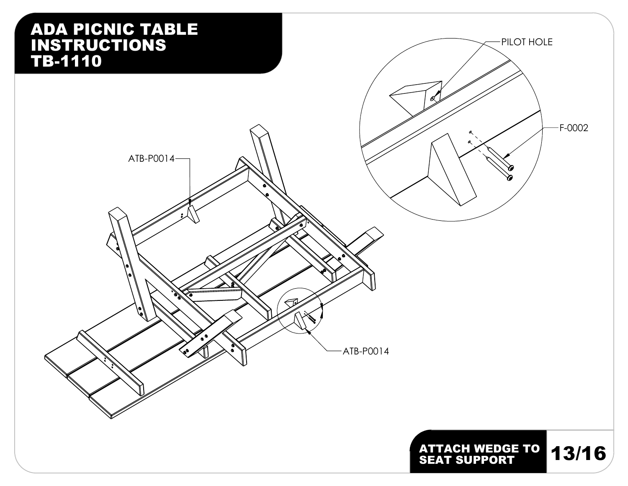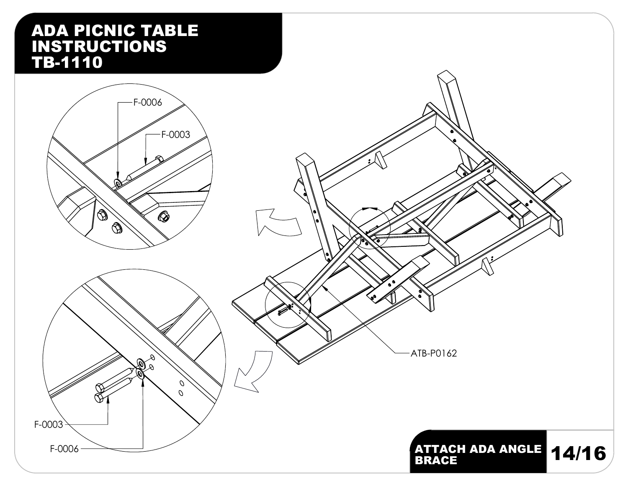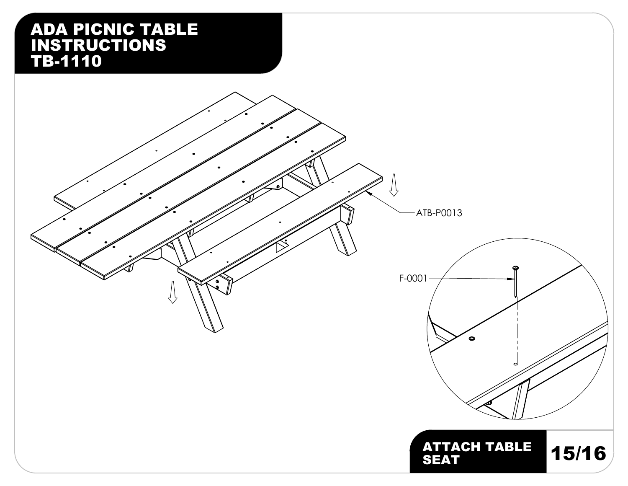